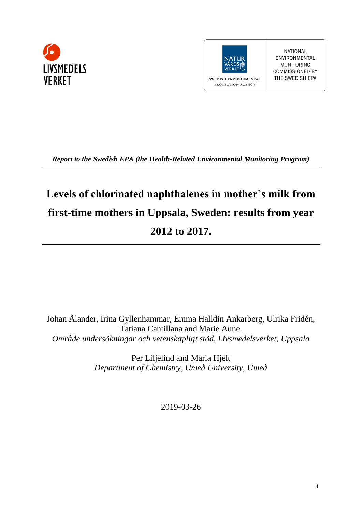



NATIONAL ENVIRONMENTAL **MONITORING COMMISSIONED BY** THE SWEDISH EPA

*Report to the Swedish EPA (the Health-Related Environmental Monitoring Program)*

# **Levels of chlorinated naphthalenes in mother's milk from first-time mothers in Uppsala, Sweden: results from year 2012 to 2017.**

Johan Ålander, Irina Gyllenhammar, Emma Halldin Ankarberg, Ulrika Fridén, Tatiana Cantillana and Marie Aune. *Område undersökningar och vetenskapligt stöd, Livsmedelsverket, Uppsala*

> Per Liljelind and Maria Hjelt *Department of Chemistry, Umeå University, Umeå*

> > 2019-03-26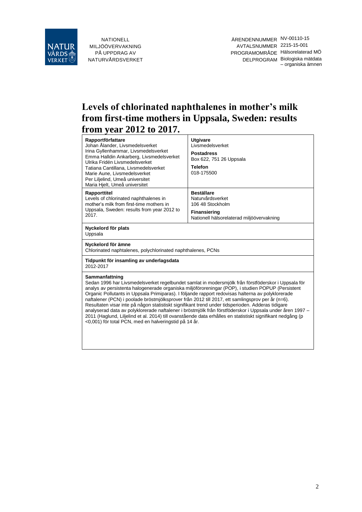

ÄRENDENNUMMER NV-00110-15 AVTALSNUMMER 2215-15-001 PROGRAMOMRÅDE Hälsorelaterad MÖ DELPROGRAM Biologiska mätdata – organiska ämnen

# **Levels of chlorinated naphthalenes in mother's milk from first-time mothers in Uppsala, Sweden: results from year 2012 to 2017.**

| Rapportförfattare<br>Johan Ålander, Livsmedelsverket<br>Irina Gyllenhammar, Livsmedelsverket<br>Emma Halldin Ankarberg, Livsmedelsverket<br>Ulrika Fridén Livsmedelsverket<br>Tatiana Cantillana, Livsmedelsverket<br>Marie Aune, Livsmedelsverket<br>Per Liljelind, Umeå universitet<br>Maria Hjelt, Umeå universitet                                                                                                                                                                                                                                                                                                                                                                                                                                                                                                      | <b>Utgivare</b><br>Livsmedelsverket<br><b>Postadress</b><br>Box 622, 751 26 Uppsala<br><b>Telefon</b><br>018-175500           |  |  |  |  |  |
|-----------------------------------------------------------------------------------------------------------------------------------------------------------------------------------------------------------------------------------------------------------------------------------------------------------------------------------------------------------------------------------------------------------------------------------------------------------------------------------------------------------------------------------------------------------------------------------------------------------------------------------------------------------------------------------------------------------------------------------------------------------------------------------------------------------------------------|-------------------------------------------------------------------------------------------------------------------------------|--|--|--|--|--|
| Rapporttitel<br>Levels of chlorinated naphthalenes in<br>mother's milk from first-time mothers in<br>Uppsala, Sweden: results from year 2012 to<br>2017.                                                                                                                                                                                                                                                                                                                                                                                                                                                                                                                                                                                                                                                                    | <b>Beställare</b><br>Naturvårdsverket<br>106 48 Stockholm<br><b>Finansiering</b><br>Nationell hälsorelaterad miljöövervakning |  |  |  |  |  |
| Nyckelord för plats<br>Uppsala                                                                                                                                                                                                                                                                                                                                                                                                                                                                                                                                                                                                                                                                                                                                                                                              |                                                                                                                               |  |  |  |  |  |
| Nyckelord för ämne<br>Chlorinated naphtalenes, polychlorinated naphthalenes, PCNs                                                                                                                                                                                                                                                                                                                                                                                                                                                                                                                                                                                                                                                                                                                                           |                                                                                                                               |  |  |  |  |  |
| Tidpunkt för insamling av underlagsdata<br>2012-2017                                                                                                                                                                                                                                                                                                                                                                                                                                                                                                                                                                                                                                                                                                                                                                        |                                                                                                                               |  |  |  |  |  |
| Sammanfattning<br>Sedan 1996 har Livsmedelsverket regelbundet samlat in modersmjölk från förstföderskor i Uppsala för<br>analys av persistenta halogenerade organiska miljöföroreningar (POP), i studien POPUP (Persistent<br>Organic Pollutants in Uppsala Primiparas). I följande rapport redovisas halterna av polyklorerade<br>naftalener (PCN) i poolade bröstmjölksprover från 2012 till 2017, ett samlingsprov per år (n=6).<br>Resultaten visar inte på någon statistiskt signifikant trend under tidsperioden. Adderas tidigare<br>analyserad data av polyklorerade naftalener i bröstmjölk från förstföderskor i Uppsala under åren 1997 -<br>2011 (Haglund, Liljelind et al. 2014) till ovanstående data erhålles en statistiskt signifikant nedgång (p<br><0,001) för total PCN, med en halveringstid på 14 år. |                                                                                                                               |  |  |  |  |  |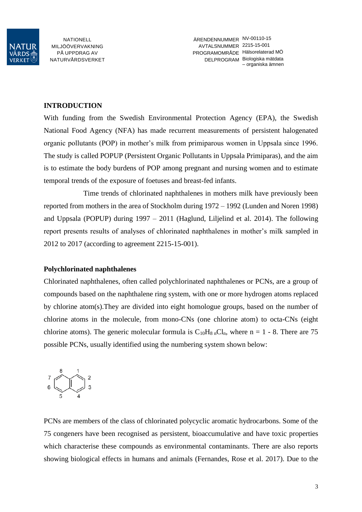

#### **INTRODUCTION**

With funding from the Swedish Environmental Protection Agency (EPA), the Swedish National Food Agency (NFA) has made recurrent measurements of persistent halogenated organic pollutants (POP) in mother's milk from primiparous women in Uppsala since 1996. The study is called POPUP (Persistent Organic Pollutants in Uppsala Primiparas), and the aim is to estimate the body burdens of POP among pregnant and nursing women and to estimate temporal trends of the exposure of foetuses and breast-fed infants.

Time trends of chlorinated naphthalenes in mothers milk have previously been reported from mothers in the area of Stockholm during 1972 – 1992 [\(Lunden and Noren 1998\)](#page-8-1) and Uppsala (POPUP) during 1997 – 2011 [\(Haglund, Liljelind et al. 2014\)](#page-8-0). The following report presents results of analyses of chlorinated naphthalenes in mother's milk sampled in 2012 to 2017 (according to agreement 2215-15-001).

#### **Polychlorinated naphthalenes**

Chlorinated naphthalenes, often called polychlorinated naphthalenes or PCNs, are a group of compounds based on the naphthalene ring system, with one or more hydrogen atoms replaced by chlorine atom(s).They are divided into eight homologue groups, based on the number of chlorine atoms in the molecule, from mono-CNs (one chlorine atom) to octa-CNs (eight chlorine atoms). The generic molecular formula is  $C_{10}H_{8}$  <sub>n</sub>Cl<sub>n</sub>, where n = 1 - 8. There are 75 possible PCNs, usually identified using the numbering system shown below:



PCNs are members of the class of chlorinated polycyclic aromatic hydrocarbons. Some of the 75 congeners have been recognised as persistent, bioaccumulative and have toxic properties which characterise these compounds as environmental contaminants. There are also reports showing biological effects in humans and animals [\(Fernandes, Rose et al. 2017\)](#page-8-2). Due to the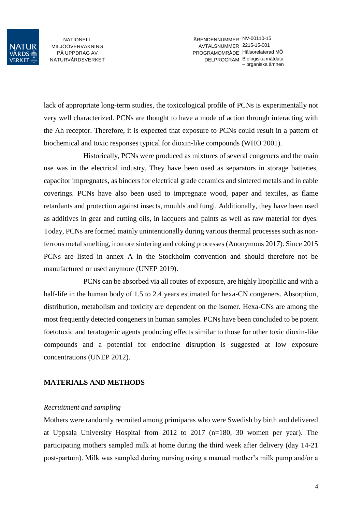

ÄRENDENNUMMER NV-00110-15 AVTALSNUMMER 2215-15-001 PROGRAMOMRÅDE Hälsorelaterad MÖ DELPROGRAM Biologiska mätdata – organiska ämnen

lack of appropriate long-term studies, the toxicological profile of PCNs is experimentally not very well characterized. PCNs are thought to have a mode of action through interacting with the Ah receptor. Therefore, it is expected that exposure to PCNs could result in a pattern of biochemical and toxic responses typical for dioxin-like compounds [\(WHO 2001\)](#page-8-3).

Historically, PCNs were produced as mixtures of several congeners and the main use was in the electrical industry. They have been used as separators in storage batteries, capacitor impregnates, as binders for electrical grade ceramics and sintered metals and in cable coverings. PCNs have also been used to impregnate wood, paper and textiles, as flame retardants and protection against insects, moulds and fungi. Additionally, they have been used as additives in gear and cutting oils, in lacquers and paints as well as raw material for dyes. Today, PCNs are formed mainly unintentionally during various thermal processes such as nonferrous metal smelting, iron ore sintering and coking processes [\(Anonymous 2017\)](#page-8-4). Since 2015 PCNs are listed in annex A in the Stockholm convention and should therefore not be manufactured or used anymore [\(UNEP 2019\)](#page-8-5).

PCNs can be absorbed via all routes of exposure, are highly lipophilic and with a half-life in the human body of 1.5 to 2.4 years estimated for hexa-CN congeners. Absorption, distribution, metabolism and toxicity are dependent on the isomer. Hexa-CNs are among the most frequently detected congeners in human samples. PCNs have been concluded to be potent foetotoxic and teratogenic agents producing effects similar to those for other toxic dioxin-like compounds and a potential for endocrine disruption is suggested at low exposure concentrations [\(UNEP 2012\)](#page-8-6).

#### **MATERIALS AND METHODS**

#### *Recruitment and sampling*

Mothers were randomly recruited among primiparas who were Swedish by birth and delivered at Uppsala University Hospital from 2012 to 2017 (n=180, 30 women per year). The participating mothers sampled milk at home during the third week after delivery (day 14-21 post-partum). Milk was sampled during nursing using a manual mother's milk pump and/or a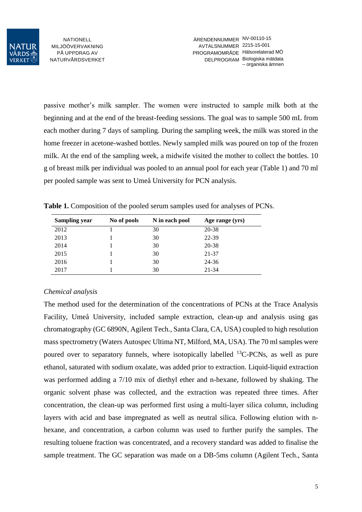

passive mother's milk sampler. The women were instructed to sample milk both at the beginning and at the end of the breast-feeding sessions. The goal was to sample 500 mL from each mother during 7 days of sampling. During the sampling week, the milk was stored in the home freezer in acetone-washed bottles. Newly sampled milk was poured on top of the frozen milk. At the end of the sampling week, a midwife visited the mother to collect the bottles. 10 g of breast milk per individual was pooled to an annual pool for each year (Table 1) and 70 ml per pooled sample was sent to Umeå University for PCN analysis.

| <b>Sampling year</b> | No of pools | N in each pool | Age range (yrs) |
|----------------------|-------------|----------------|-----------------|
| 2012                 |             | 30             | 20-38           |
| 2013                 |             | 30             | 22-39           |
| 2014                 |             | 30             | 20-38           |
| 2015                 |             | 30             | 21-37           |

2016 1 30 24-36 2017 1 30 21-34

**Table 1.** Composition of the pooled serum samples used for analyses of PCNs.

## *Chemical analysis*

The method used for the determination of the concentrations of PCNs at the Trace Analysis Facility, Umeå University, included sample extraction, clean-up and analysis using gas chromatography (GC 6890N, Agilent Tech., Santa Clara, CA, USA) coupled to high resolution mass spectrometry (Waters Autospec Ultima NT, Milford, MA, USA). The 70 ml samples were poured over to separatory funnels, where isotopically labelled  $^{13}$ C-PCNs, as well as pure ethanol, saturated with sodium oxalate, was added prior to extraction. Liquid-liquid extraction was performed adding a 7/10 mix of diethyl ether and n-hexane, followed by shaking. The organic solvent phase was collected, and the extraction was repeated three times. After concentration, the clean-up was performed first using a multi-layer silica column, including layers with acid and base impregnated as well as neutral silica. Following elution with nhexane, and concentration, a carbon column was used to further purify the samples. The resulting toluene fraction was concentrated, and a recovery standard was added to finalise the sample treatment. The GC separation was made on a DB-5ms column (Agilent Tech., Santa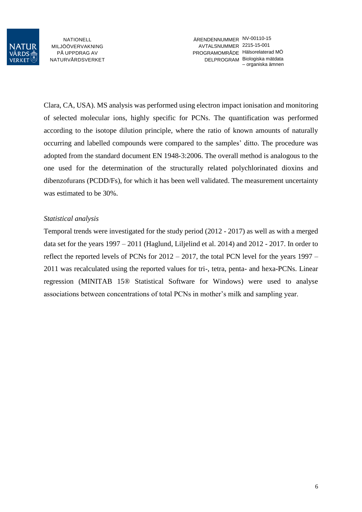

ÄRENDENNUMMER NV-00110-15 AVTALSNUMMER 2215-15-001 PROGRAMOMRÅDE Hälsorelaterad MÖ DELPROGRAM Biologiska mätdata – organiska ämnen

Clara, CA, USA). MS analysis was performed using electron impact ionisation and monitoring of selected molecular ions, highly specific for PCNs. The quantification was performed according to the isotope dilution principle, where the ratio of known amounts of naturally occurring and labelled compounds were compared to the samples' ditto. The procedure was adopted from the standard document EN 1948-3:2006. The overall method is analogous to the one used for the determination of the structurally related polychlorinated dioxins and dibenzofurans (PCDD/Fs), for which it has been well validated. The measurement uncertainty was estimated to be 30%.

#### *Statistical analysis*

Temporal trends were investigated for the study period (2012 - 2017) as well as with a merged data set for the years 1997 – 2011 [\(Haglund, Liljelind et al. 2014\)](#page-8-0) and 2012 - 2017. In order to reflect the reported levels of PCNs for 2012 – 2017, the total PCN level for the years 1997 – 2011 was recalculated using the reported values for tri-, tetra, penta- and hexa-PCNs. Linear regression (MINITAB 15® Statistical Software for Windows) were used to analyse associations between concentrations of total PCNs in mother's milk and sampling year.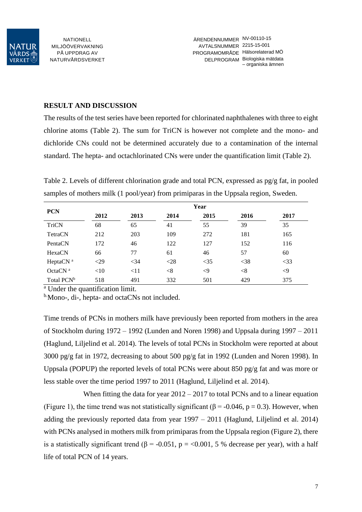

#### **RESULT AND DISCUSSION**

The results of the test series have been reported for chlorinated naphthalenes with three to eight chlorine atoms (Table 2). The sum for TriCN is however not complete and the mono- and dichloride CNs could not be determined accurately due to a contamination of the internal standard. The hepta- and octachlorinated CNs were under the quantification limit (Table 2).

Table 2. Levels of different chlorination grade and total PCN, expressed as pg/g fat, in pooled samples of mothers milk (1 pool/year) from primiparas in the Uppsala region, Sweden.

| <b>PCN</b>             | Year   |        |        |          |        |             |  |  |
|------------------------|--------|--------|--------|----------|--------|-------------|--|--|
|                        | 2012   | 2013   | 2014   | 2015     | 2016   | 2017        |  |  |
| <b>TriCN</b>           | 68     | 65     | 41     | 55       | 39     | 35          |  |  |
| TetraCN                | 212    | 203    | 109    | 272      | 181    | 165         |  |  |
| PentaCN                | 172    | 46     | 122    | 127      | 152    | 116         |  |  |
| HexaCN                 | 66     | 77     | 61     | 46       | 57     | 60          |  |  |
| HeptaCN <sup>a</sup>   | $<$ 29 | $<$ 34 | $<$ 28 | $<$ 35   | $<$ 38 | $<$ 33      |  |  |
| Octa $CNa$             | <10    | <11    | < 8    | $\leq$ 9 | $<$ 8  | $\langle 9$ |  |  |
| Total PCN <sup>b</sup> | 518    | 491    | 332    | 501      | 429    | 375         |  |  |

<sup>a</sup> Under the quantification limit.

<sup>b.</sup>Mono-, di-, hepta- and octaCNs not included.

Time trends of PCNs in mothers milk have previously been reported from mothers in the area of Stockholm during 1972 – 1992 [\(Lunden and Noren 1998\)](#page-8-1) and Uppsala during 1997 – 2011 [\(Haglund, Liljelind et al. 2014\)](#page-8-0). The levels of total PCNs in Stockholm were reported at about 3000 pg/g fat in 1972, decreasing to about 500 pg/g fat in 1992 [\(Lunden and Noren 1998\)](#page-8-1). In Uppsala (POPUP) the reported levels of total PCNs were about 850 pg/g fat and was more or less stable over the time period 1997 to 2011 [\(Haglund, Liljelind et al. 2014\)](#page-8-0).

When fitting the data for year  $2012 - 2017$  to total PCNs and to a linear equation (Figure 1), the time trend was not statistically significant ( $\beta$  = -0.046, p = 0.3). However, when adding the previously reported data from year 1997 – 2011 [\(Haglund, Liljelind et al. 2014\)](#page-8-0) with PCNs analysed in mothers milk from primiparas from the Uppsala region (Figure 2), there is a statistically significant trend ( $\beta$  = -0.051, p = <0.001, 5 % decrease per year), with a half life of total PCN of 14 years.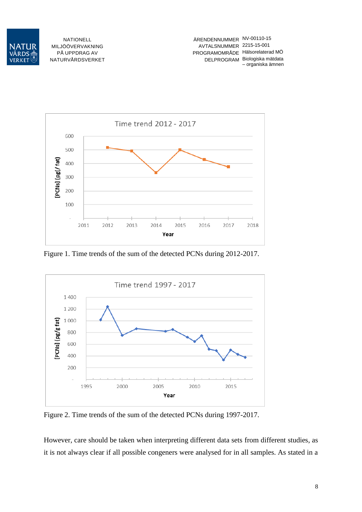



Figure 1. Time trends of the sum of the detected PCNs during 2012-2017.



Figure 2. Time trends of the sum of the detected PCNs during 1997-2017.

However, care should be taken when interpreting different data sets from different studies, as it is not always clear if all possible congeners were analysed for in all samples. As stated in a